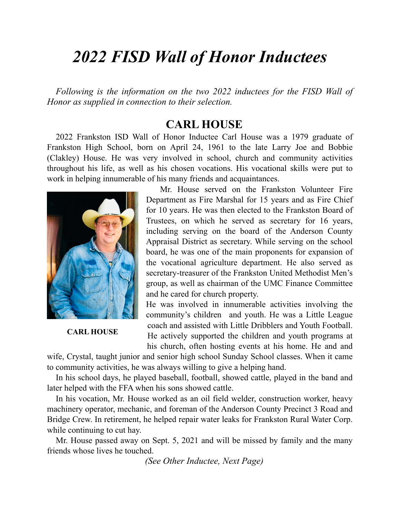## *2022 FISD Wall of Honor Inductees*

*Following is the information on the two 2022 inductees for the FISD Wall of Honor as supplied in connection to their selection.*

## **CARL HOUSE**

2022 Frankston ISD Wall of Honor Inductee Carl House was a 1979 graduate of Frankston High School, born on April 24, 1961 to the late Larry Joe and Bobbie (Clakley) House. He was very involved in school, church and community activities throughout his life, as well as his chosen vocations. His vocational skills were put to work in helping innumerable of his many friends and acquaintances.



**CARL HOUSE**

 Mr. House served on the Frankston Volunteer Fire Department as Fire Marshal for 15 years and as Fire Chief for 10 years. He was then elected to the Frankston Board of Trustees, on which he served as secretary for 16 years, including serving on the board of the Anderson County Appraisal District as secretary. While serving on the school board, he was one of the main proponents for expansion of the vocational agriculture department. He also served as secretary-treasurer of the Frankston United Methodist Men's group, as well as chairman of the UMC Finance Committee and he cared for church property.

He was involved in innumerable activities involving the community's children and youth. He was a Little League coach and assisted with Little Dribblers and Youth Football. He actively supported the children and youth programs at his church, often hosting events at his home. He and and

wife, Crystal, taught junior and senior high school Sunday School classes. When it came to community activities, he was always willing to give a helping hand.

In his school days, he played baseball, football, showed cattle, played in the band and later helped with the FFA when his sons showed cattle.

In his vocation, Mr. House worked as an oil field welder, construction worker, heavy machinery operator, mechanic, and foreman of the Anderson County Precinct 3 Road and Bridge Crew. In retirement, he helped repair water leaks for Frankston Rural Water Corp. while continuing to cut hay.

Mr. House passed away on Sept. 5, 2021 and will be missed by family and the many friends whose lives he touched.

*(See Other Inductee, Next Page)*